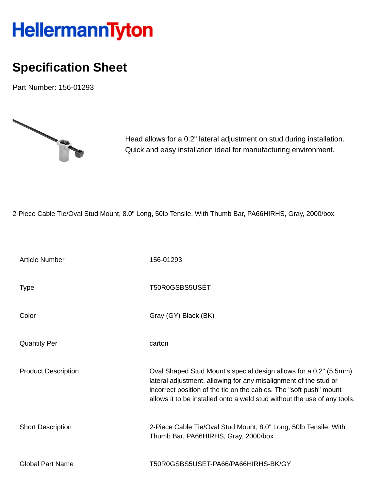## HellermannTyton

## **Specification Sheet**

Part Number: 156-01293



Head allows for a 0.2" lateral adjustment on stud during installation. Quick and easy installation ideal for manufacturing environment.

2-Piece Cable Tie/Oval Stud Mount, 8.0" Long, 50lb Tensile, With Thumb Bar, PA66HIRHS, Gray, 2000/box

| <b>Article Number</b>      | 156-01293                                                                                                                                                                                                                                                                               |
|----------------------------|-----------------------------------------------------------------------------------------------------------------------------------------------------------------------------------------------------------------------------------------------------------------------------------------|
| <b>Type</b>                | T50R0GSBS5USET                                                                                                                                                                                                                                                                          |
| Color                      | Gray (GY) Black (BK)                                                                                                                                                                                                                                                                    |
| <b>Quantity Per</b>        | carton                                                                                                                                                                                                                                                                                  |
| <b>Product Description</b> | Oval Shaped Stud Mount's special design allows for a 0.2" (5.5mm)<br>lateral adjustment, allowing for any misalignment of the stud or<br>incorrect position of the tie on the cables. The "soft push" mount<br>allows it to be installed onto a weld stud without the use of any tools. |
| <b>Short Description</b>   | 2-Piece Cable Tie/Oval Stud Mount, 8.0" Long, 50lb Tensile, With<br>Thumb Bar, PA66HIRHS, Gray, 2000/box                                                                                                                                                                                |
| <b>Global Part Name</b>    | T50R0GSBS5USET-PA66/PA66HIRHS-BK/GY                                                                                                                                                                                                                                                     |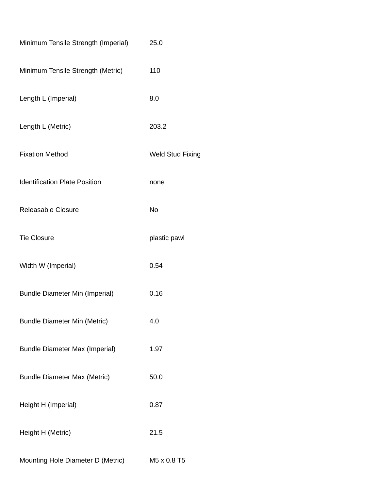| Minimum Tensile Strength (Imperial)   | 25.0                    |
|---------------------------------------|-------------------------|
| Minimum Tensile Strength (Metric)     | 110                     |
| Length L (Imperial)                   | 8.0                     |
| Length L (Metric)                     | 203.2                   |
| <b>Fixation Method</b>                | <b>Weld Stud Fixing</b> |
| <b>Identification Plate Position</b>  | none                    |
| Releasable Closure                    | No                      |
| <b>Tie Closure</b>                    | plastic pawl            |
| Width W (Imperial)                    | 0.54                    |
| <b>Bundle Diameter Min (Imperial)</b> | 0.16                    |
| <b>Bundle Diameter Min (Metric)</b>   | 4.0                     |
| <b>Bundle Diameter Max (Imperial)</b> | 1.97                    |
| <b>Bundle Diameter Max (Metric)</b>   | 50.0                    |
| Height H (Imperial)                   | 0.87                    |
| Height H (Metric)                     | 21.5                    |
| Mounting Hole Diameter D (Metric)     | M5 x 0.8 T5             |